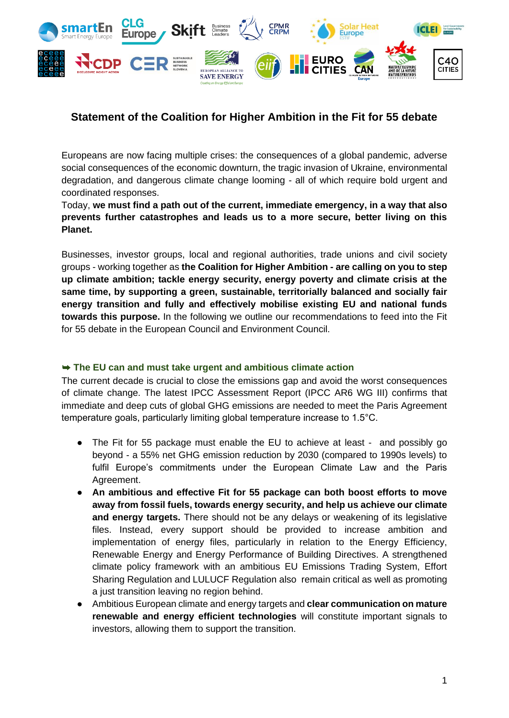

# **Statement of the Coalition for Higher Ambition in the Fit for 55 debate**

Europeans are now facing multiple crises: the consequences of a global pandemic, adverse social consequences of the economic downturn, the tragic invasion of Ukraine, environmental degradation, and dangerous climate change looming - all of which require bold urgent and coordinated responses.

Today, **we must find a path out of the current, immediate emergency, in a way that also prevents further catastrophes and leads us to a more secure, better living on this Planet.**

Businesses, investor groups, local and regional authorities, trade unions and civil society groups - working together as **the Coalition for Higher Ambition - are calling on you to step up climate ambition; tackle energy security, energy poverty and climate crisis at the same time, by supporting a green, sustainable, territorially balanced and socially fair energy transition and fully and effectively mobilise existing EU and national funds towards this purpose.** In the following we outline our recommendations to feed into the Fit for 55 debate in the European Council and Environment Council.

#### ➥ **The EU can and must take urgent and ambitious climate action**

The current decade is crucial to close the emissions gap and avoid the worst consequences of climate change. The latest IPCC Assessment Report (IPCC AR6 WG III) confirms that immediate and deep cuts of global GHG emissions are needed to meet the Paris Agreement temperature goals, particularly limiting global temperature increase to 1.5°C.

- The Fit for 55 package must enable the EU to achieve at least and possibly go beyond - a 55% net GHG emission reduction by 2030 (compared to 1990s levels) to fulfil Europe's commitments under the European Climate Law and the Paris Agreement.
- **An ambitious and effective Fit for 55 package can both boost efforts to move away from fossil fuels, towards energy security, and help us achieve our climate and energy targets.** There should not be any delays or weakening of its legislative files. Instead, every support should be provided to increase ambition and implementation of energy files, particularly in relation to the Energy Efficiency, Renewable Energy and Energy Performance of Building Directives. A strengthened climate policy framework with an ambitious EU Emissions Trading System, Effort Sharing Regulation and LULUCF Regulation also remain critical as well as promoting a just transition leaving no region behind.
- Ambitious European climate and energy targets and **clear communication on mature renewable and energy efficient technologies** will constitute important signals to investors, allowing them to support the transition.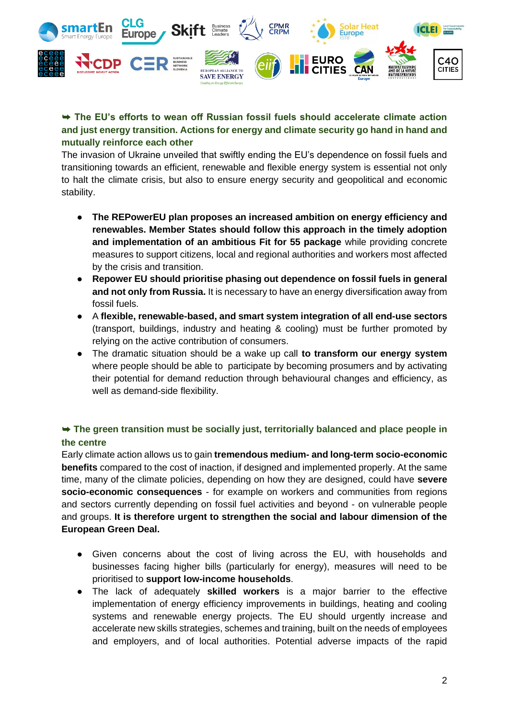

## ➥ **The EU's efforts to wean off Russian fossil fuels should accelerate climate action and just energy transition. Actions for energy and climate security go hand in hand and mutually reinforce each other**

The invasion of Ukraine unveiled that swiftly ending the EU's dependence on fossil fuels and transitioning towards an efficient, renewable and flexible energy system is essential not only to halt the climate crisis, but also to ensure energy security and geopolitical and economic stability.

- **The REPowerEU plan proposes an increased ambition on energy efficiency and renewables. Member States should follow this approach in the timely adoption and implementation of an ambitious Fit for 55 package** while providing concrete measures to support citizens, local and regional authorities and workers most affected by the crisis and transition.
- **Repower EU should prioritise phasing out dependence on fossil fuels in general and not only from Russia.** It is necessary to have an energy diversification away from fossil fuels.
- A **flexible, renewable-based, and smart system integration of all end-use sectors** (transport, buildings, industry and heating & cooling) must be further promoted by relying on the active contribution of consumers.
- The dramatic situation should be a wake up call **to transform our energy system** where people should be able to participate by becoming prosumers and by activating their potential for demand reduction through behavioural changes and efficiency, as well as demand-side flexibility.

## ➥ **The green transition must be socially just, territorially balanced and place people in the centre**

Early climate action allows us to gain **tremendous medium- and long-term socio-economic benefits** compared to the cost of inaction, if designed and implemented properly. At the same time, many of the climate policies, depending on how they are designed, could have **severe socio-economic consequences** - for example on workers and communities from regions and sectors currently depending on fossil fuel activities and beyond - on vulnerable people and groups. **It is therefore urgent to strengthen the social and labour dimension of the European Green Deal.** 

- Given concerns about the cost of living across the EU, with households and businesses facing higher bills (particularly for energy), measures will need to be prioritised to **support low-income households**.
- The lack of adequately **skilled workers** is a major barrier to the effective implementation of energy efficiency improvements in buildings, heating and cooling systems and renewable energy projects. The EU should urgently increase and accelerate new skills strategies, schemes and training, built on the needs of employees and employers, and of local authorities. Potential adverse impacts of the rapid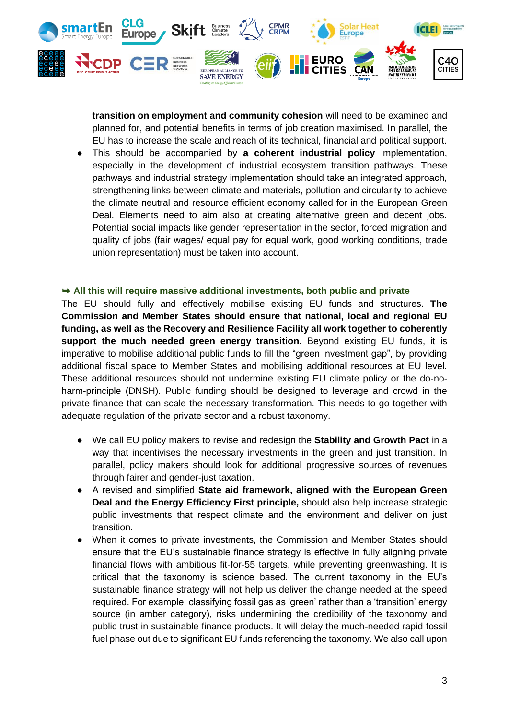

**transition on employment and community cohesion** will need to be examined and planned for, and potential benefits in terms of job creation maximised. In parallel, the EU has to increase the scale and reach of its technical, financial and political support.

● This should be accompanied by **a coherent industrial policy** implementation, especially in the development of industrial ecosystem transition pathways. These pathways and industrial strategy implementation should take an integrated approach, strengthening links between climate and materials, pollution and circularity to achieve the climate neutral and resource efficient economy called for in the European Green Deal. Elements need to aim also at creating alternative green and decent jobs. Potential social impacts like gender representation in the sector, forced migration and quality of jobs (fair wages/ equal pay for equal work, good working conditions, trade union representation) must be taken into account.

#### ➥ **All this will require massive additional investments, both public and private**

The EU should fully and effectively mobilise existing EU funds and structures. **The Commission and Member States should ensure that national, local and regional EU funding, as well as the Recovery and Resilience Facility all work together to coherently support the much needed green energy transition.** Beyond existing EU funds, it is imperative to mobilise additional public funds to fill the "green investment gap", by providing additional fiscal space to Member States and mobilising additional resources at EU level. These additional resources should not undermine existing EU climate policy or the do-noharm-principle (DNSH). Public funding should be designed to leverage and crowd in the private finance that can scale the necessary transformation. This needs to go together with adequate regulation of the private sector and a robust taxonomy.

- We call EU policy makers to revise and redesign the **Stability and Growth Pact** in a way that incentivises the necessary investments in the green and just transition. In parallel, policy makers should look for additional progressive sources of revenues through fairer and gender-just taxation.
- A revised and simplified **State aid framework, aligned with the European Green Deal and the Energy Efficiency First principle,** should also help increase strategic public investments that respect climate and the environment and deliver on just transition.
- When it comes to private investments, the Commission and Member States should ensure that the EU's sustainable finance strategy is effective in fully aligning private financial flows with ambitious fit-for-55 targets, while preventing greenwashing. It is critical that the taxonomy is science based. The current taxonomy in the EU's sustainable finance strategy will not help us deliver the change needed at the speed required. For example, classifying fossil gas as 'green' rather than a 'transition' energy source (in amber category), risks undermining the credibility of the taxonomy and public trust in sustainable finance products. It will delay the much-needed rapid fossil fuel phase out due to significant EU funds referencing the taxonomy. We also call upon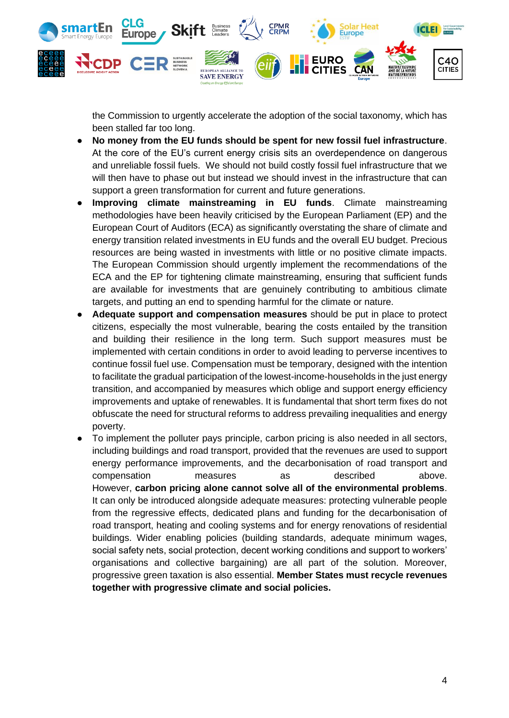

the Commission to urgently accelerate the adoption of the social taxonomy, which has been stalled far too long.

- **No money from the EU funds should be spent for new fossil fuel infrastructure**. At the core of the EU's current energy crisis sits an overdependence on dangerous and unreliable fossil fuels. We should not build costly fossil fuel infrastructure that we will then have to phase out but instead we should invest in the infrastructure that can support a green transformation for current and future generations.
- **Improving climate mainstreaming in EU funds**. Climate mainstreaming methodologies have been heavily criticised by the European Parliament (EP) and the European Court of Auditors (ECA) as significantly overstating the share of climate and energy transition related investments in EU funds and the overall EU budget. Precious resources are being wasted in investments with little or no positive climate impacts. The European Commission should urgently implement the recommendations of the ECA and the EP for tightening climate mainstreaming, ensuring that sufficient funds are available for investments that are genuinely contributing to ambitious climate targets, and putting an end to spending harmful for the climate or nature.
- **Adequate support and compensation measures** should be put in place to protect citizens, especially the most vulnerable, bearing the costs entailed by the transition and building their resilience in the long term. Such support measures must be implemented with certain conditions in order to avoid leading to perverse incentives to continue fossil fuel use. Compensation must be temporary, designed with the intention to facilitate the gradual participation of the lowest-income-households in the just energy transition, and accompanied by measures which oblige and support energy efficiency improvements and uptake of renewables. It is fundamental that short term fixes do not obfuscate the need for structural reforms to address prevailing inequalities and energy poverty.
- To implement the polluter pays principle, carbon pricing is also needed in all sectors, including buildings and road transport, provided that the revenues are used to support energy performance improvements, and the decarbonisation of road transport and compensation measures as described above. However, **carbon pricing alone cannot solve all of the environmental problems**. It can only be introduced alongside adequate measures: protecting vulnerable people from the regressive effects, dedicated plans and funding for the decarbonisation of road transport, heating and cooling systems and for energy renovations of residential buildings. Wider enabling policies (building standards, adequate minimum wages, social safety nets, social protection, decent working conditions and support to workers' organisations and collective bargaining) are all part of the solution. Moreover, progressive green taxation is also essential. **Member States must recycle revenues together with progressive climate and social policies.**